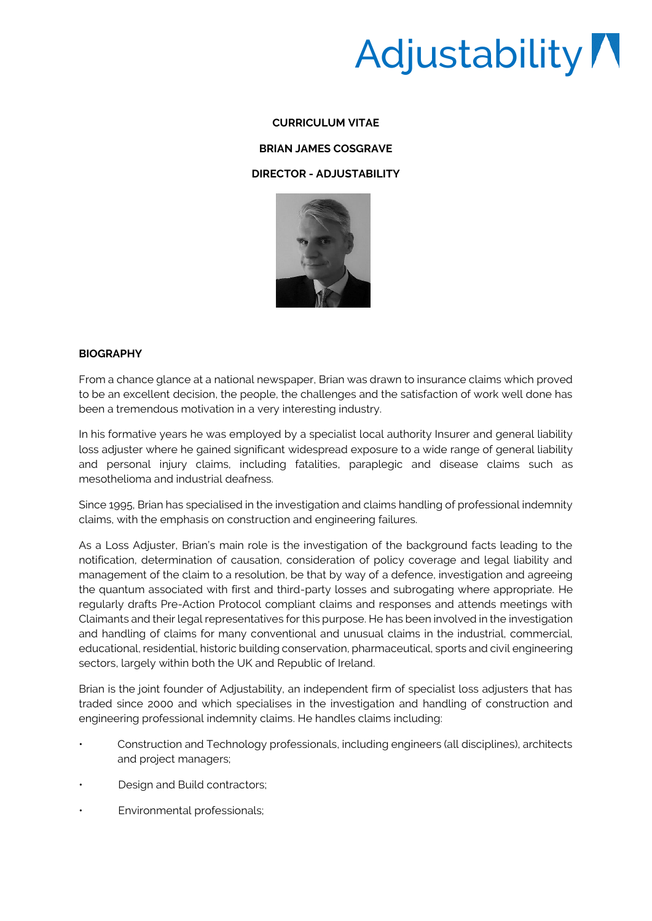# Adjustability

### **CURRICULUM VITAE**

#### **BRIAN JAMES COSGRAVE**

### **DIRECTOR - ADJUSTABILITY**



## **BIOGRAPHY**

From a chance glance at a national newspaper, Brian was drawn to insurance claims which proved to be an excellent decision, the people, the challenges and the satisfaction of work well done has been a tremendous motivation in a very interesting industry.

In his formative years he was employed by a specialist local authority Insurer and general liability loss adjuster where he gained significant widespread exposure to a wide range of general liability and personal injury claims, including fatalities, paraplegic and disease claims such as mesothelioma and industrial deafness.

Since 1995, Brian has specialised in the investigation and claims handling of professional indemnity claims, with the emphasis on construction and engineering failures.

As a Loss Adjuster, Brian's main role is the investigation of the background facts leading to the notification, determination of causation, consideration of policy coverage and legal liability and management of the claim to a resolution, be that by way of a defence, investigation and agreeing the quantum associated with first and third-party losses and subrogating where appropriate. He regularly drafts Pre-Action Protocol compliant claims and responses and attends meetings with Claimants and their legal representatives for this purpose. He has been involved in the investigation and handling of claims for many conventional and unusual claims in the industrial, commercial, educational, residential, historic building conservation, pharmaceutical, sports and civil engineering sectors, largely within both the UK and Republic of Ireland.

Brian is the joint founder of Adjustability, an independent firm of specialist loss adjusters that has traded since 2000 and which specialises in the investigation and handling of construction and engineering professional indemnity claims. He handles claims including:

- Construction and Technology professionals, including engineers (all disciplines), architects and project managers;
- Design and Build contractors:
- Environmental professionals;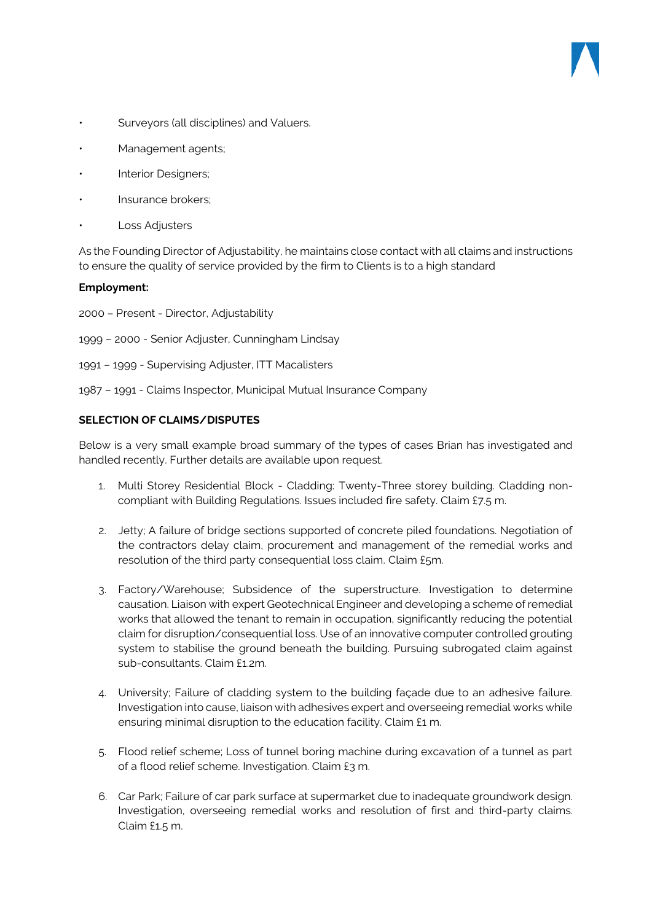- Surveyors (all disciplines) and Valuers.
- Management agents;
- Interior Designers;
- Insurance brokers;
- **Loss Adjusters**

As the Founding Director of Adjustability, he maintains close contact with all claims and instructions to ensure the quality of service provided by the firm to Clients is to a high standard

### **Employment:**

- 2000 Present Director, Adjustability
- 1999 2000 Senior Adjuster, Cunningham Lindsay
- 1991 1999 Supervising Adjuster, ITT Macalisters
- 1987 1991 Claims Inspector, Municipal Mutual Insurance Company

### **SELECTION OF CLAIMS/DISPUTES**

Below is a very small example broad summary of the types of cases Brian has investigated and handled recently. Further details are available upon request.

- 1. Multi Storey Residential Block Cladding: Twenty-Three storey building. Cladding noncompliant with Building Regulations. Issues included fire safety. Claim £7.5 m.
- 2. Jetty; A failure of bridge sections supported of concrete piled foundations. Negotiation of the contractors delay claim, procurement and management of the remedial works and resolution of the third party consequential loss claim. Claim £5m.
- 3. Factory/Warehouse; Subsidence of the superstructure. Investigation to determine causation. Liaison with expert Geotechnical Engineer and developing a scheme of remedial works that allowed the tenant to remain in occupation, significantly reducing the potential claim for disruption/consequential loss. Use of an innovative computer controlled grouting system to stabilise the ground beneath the building. Pursuing subrogated claim against sub-consultants. Claim £1.2m.
- 4. University; Failure of cladding system to the building façade due to an adhesive failure. Investigation into cause, liaison with adhesives expert and overseeing remedial works while ensuring minimal disruption to the education facility. Claim £1 m.
- 5. Flood relief scheme; Loss of tunnel boring machine during excavation of a tunnel as part of a flood relief scheme. Investigation. Claim £3 m.
- 6. Car Park; Failure of car park surface at supermarket due to inadequate groundwork design. Investigation, overseeing remedial works and resolution of first and third-party claims. Claim £1.5 m.